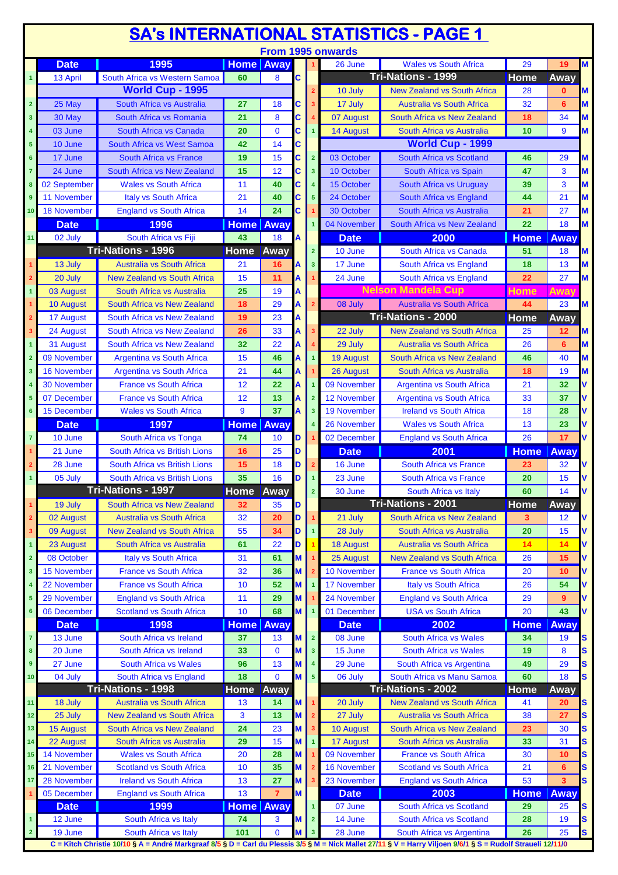|                         |                    |                                                                                                                                                                                       |                        |                 |        |                         |                    | <u>SA's INTERNATIONAL STATISTICS - PAGE 1</u>           |                    |              |                         |
|-------------------------|--------------------|---------------------------------------------------------------------------------------------------------------------------------------------------------------------------------------|------------------------|-----------------|--------|-------------------------|--------------------|---------------------------------------------------------|--------------------|--------------|-------------------------|
|                         |                    |                                                                                                                                                                                       |                        |                 |        |                         | From 1995 onwards  |                                                         |                    |              |                         |
|                         | <b>Date</b>        | 1995                                                                                                                                                                                  | <b>Home</b> Away       |                 |        |                         | 26 June            | <b>Wales vs South Africa</b>                            | 29                 | 19           | $\overline{\mathsf{M}}$ |
| $\mathbf{1}$            | 13 April           | South Africa vs Western Samoa                                                                                                                                                         | 60                     | 8               | C      |                         |                    | Tri-Nations - 1999                                      | <b>Home</b>        | Away         |                         |
|                         |                    | World Cup - 1995                                                                                                                                                                      |                        |                 |        |                         | 10 July            | <b>New Zealand vs South Africa</b>                      | 28                 | $\mathbf{0}$ | M                       |
| $\mathbf 2$             | 25 May             | South Africa vs Australia                                                                                                                                                             | 27                     | 18              | C      |                         | 17 July            | <b>Australia vs South Africa</b>                        | 32                 | 6            | M                       |
| 3                       | 30 May             | South Africa vs Romania                                                                                                                                                               | 21                     | 8               | C      |                         | 07 August          | South Africa vs New Zealand                             | 18                 | 34           | M                       |
| 4                       | 03 June            | South Africa vs Canada                                                                                                                                                                | 20                     | $\mathbf 0$     | C      |                         | 14 August          | South Africa vs Australia                               | 10                 | 9            | M                       |
| 5                       | 10 June            | <b>South Africa vs West Samoa</b>                                                                                                                                                     | 42                     | 14              | С      |                         |                    | World Cup - 1999                                        |                    |              |                         |
| $6\phantom{a}$          | 17 June            | <b>South Africa vs France</b>                                                                                                                                                         | 19                     | 15              | C      | $\overline{2}$          | 03 October         | South Africa vs Scotland                                | 46                 | 29           | М                       |
| 7                       | 24 June            | South Africa vs New Zealand                                                                                                                                                           | 15                     | 12              | C      | $\overline{\mathbf{3}}$ | 10 October         | South Africa vs Spain                                   | 47                 | 3            | M                       |
| 8                       | 02 September       | <b>Wales vs South Africa</b>                                                                                                                                                          | 11                     | 40              | C      |                         | 15 October         | South Africa vs Uruguay                                 | 39                 | 3            | M                       |
| 9                       | 11 November        | <b>Italy vs South Africa</b>                                                                                                                                                          | 21                     | 40              | C      | 5                       | 24 October         | South Africa vs England                                 | 44                 | 21           | M                       |
| 10                      | <b>18 November</b> | <b>England vs South Africa</b>                                                                                                                                                        | 14                     | 24              | C      |                         | 30 October         | South Africa vs Australia                               | 21                 | 27           | M                       |
|                         | <b>Date</b>        | 1996                                                                                                                                                                                  | <b>Home</b>            | Away            |        |                         | 04 November        | South Africa vs New Zealand                             | 22                 | 18           | M                       |
| 11                      | 02 July            | South Africa vs Fiji                                                                                                                                                                  | 43                     | 18              | A      |                         | <b>Date</b>        | 2000                                                    | <b>Home</b>        | <b>Away</b>  |                         |
|                         |                    | <b>Tri-Nations - 1996</b>                                                                                                                                                             | <b>Home</b>            | Away            |        | $\overline{2}$          | 10 June            | South Africa vs Canada                                  | 51                 | 18           | M                       |
| 1                       | 13 July            | <b>Australia vs South Africa</b>                                                                                                                                                      | 21                     | 16              | Α      | $\overline{\mathbf{3}}$ | 17 June            | South Africa vs England                                 | 18                 | 13           | M                       |
| $\overline{\mathbf{2}}$ |                    |                                                                                                                                                                                       | 15                     | 11              |        |                         | 24 June            | South Africa vs England                                 | 22                 | 27           | M                       |
|                         | 20 July            | <b>New Zealand vs South Africa</b>                                                                                                                                                    |                        |                 | А      |                         |                    | <b>Nelson Mandela Cup</b>                               |                    |              |                         |
| $\mathbf{1}$            | 03 August          | South Africa vs Australia                                                                                                                                                             | 25                     | 19              |        |                         |                    |                                                         | Home               | Away         |                         |
| 1                       | <b>10 August</b>   | South Africa vs New Zealand                                                                                                                                                           | 18                     | 29              | Α      |                         | 08 July            | Australia vs South Africa                               | 44                 | 23           | M                       |
| $\overline{2}$          | 17 August          | South Africa vs New Zealand                                                                                                                                                           | 19                     | 23              | А      |                         |                    | <b>Tri-Nations - 2000</b>                               | <b>Home</b>        | Away         |                         |
| 3                       | 24 August          | South Africa vs New Zealand                                                                                                                                                           | 26                     | 33              | A      |                         | 22 July            | <b>New Zealand vs South Africa</b>                      | 25                 | 12           | M                       |
| $\mathbf{1}$            | 31 August          | South Africa vs New Zealand                                                                                                                                                           | 32                     | 22              | Α      |                         | 29 July            | <b>Australia vs South Africa</b>                        | 26                 | 6            | M                       |
| $\overline{\mathbf{2}}$ | 09 November        | <b>Argentina vs South Africa</b>                                                                                                                                                      | 15                     | 46              | A      |                         | <b>19 August</b>   | South Africa vs New Zealand                             | 46                 | 40           | М                       |
| 3                       | <b>16 November</b> | <b>Argentina vs South Africa</b>                                                                                                                                                      | 21                     | 44              | A      |                         | 26 August          | South Africa vs Australia                               | 18                 | 19           | M                       |
|                         | <b>30 November</b> | <b>France vs South Africa</b>                                                                                                                                                         | 12                     | 22              |        |                         | 09 November        | <b>Argentina vs South Africa</b>                        | 21                 | 32           |                         |
| 5                       | 07 December        | <b>France vs South Africa</b>                                                                                                                                                         | 12                     | 13              |        |                         | <b>12 November</b> | <b>Argentina vs South Africa</b>                        | 33                 | 37           |                         |
| 6                       | 15 December        | <b>Wales vs South Africa</b>                                                                                                                                                          | 9                      | 37              |        | 3                       | <b>19 November</b> | <b>Ireland vs South Africa</b>                          | 18                 | 28           |                         |
|                         | <b>Date</b>        | 1997                                                                                                                                                                                  | <b>Home</b> Away       |                 |        |                         | <b>26 November</b> | <b>Wales vs South Africa</b>                            | 13                 | 23           |                         |
| $\overline{7}$          | 10 June            | South Africa vs Tonga                                                                                                                                                                 | 74                     | 10 <sup>°</sup> | D      |                         | 02 December        | <b>England vs South Africa</b>                          | 26                 | 17           | V                       |
| 1                       | 21 June            | South Africa vs British Lions                                                                                                                                                         | 16                     | 25              | D      |                         | <b>Date</b>        | 2001                                                    | <b>Home</b>        | Away         |                         |
|                         | 28 June            | South Africa vs British Lions                                                                                                                                                         | 15                     | 18              | D      |                         | 16 June            | <b>South Africa vs France</b>                           | 23                 | 32           | V                       |
| $\mathbf{1}$            | 05 July            | South Africa vs British Lions                                                                                                                                                         | 35                     | 16              | D      |                         | 23 June            | <b>South Africa vs France</b>                           | 20                 | 15           |                         |
|                         |                    | Tri-Nations - 1997                                                                                                                                                                    | <b>Home</b> Away       |                 |        |                         | 30 June            | South Africa vs Italy                                   | 60                 | 14           |                         |
| $\mathbf{1}$            | 19 July            | South Africa vs New Zealand                                                                                                                                                           | 32                     | 35              | D      |                         |                    | <b>Tri-Nations - 2001</b>                               | Home               | Away         |                         |
| $\mathbf 2$             | 02 August          | <b>Australia vs South Africa</b>                                                                                                                                                      | 32                     | 20              | D      |                         | 21 July            | South Africa vs New Zealand                             | 3                  | 12           | ٧                       |
| 3                       | 09 August          | <b>New Zealand vs South Africa</b>                                                                                                                                                    | 55                     | 34              | D      |                         | 28 July            | South Africa vs Australia                               | 20                 | 15           | V                       |
| $\mathbf{1}$            | 23 August          | <b>South Africa vs Australia</b>                                                                                                                                                      | 61                     | 22              | D      |                         | <b>18 August</b>   | <b>Australia vs South Africa</b>                        | 14                 | 14           | V                       |
| $\overline{2}$          | 08 October         | <b>Italy vs South Africa</b>                                                                                                                                                          | 31                     | 61              | M      |                         | 25 August          | <b>New Zealand vs South Africa</b>                      | 26                 | 15           | V                       |
| 3                       | <b>15 November</b> | <b>France vs South Africa</b>                                                                                                                                                         | 32                     | 36              | M      |                         | 10 November        | <b>France vs South Africa</b>                           | 20                 | 10           | ۷                       |
| 4                       | 22 November        | <b>France vs South Africa</b>                                                                                                                                                         | 10                     | 52              | M      |                         | <b>17 November</b> | <b>Italy vs South Africa</b>                            | 26                 | 54           | ۷                       |
| 5                       | 29 November        | <b>England vs South Africa</b>                                                                                                                                                        | 11                     | 29              | M      |                         | 24 November        | <b>England vs South Africa</b>                          | 29                 | 9            | V                       |
| 6                       | 06 December        | <b>Scotland vs South Africa</b>                                                                                                                                                       | 10                     | 68              | M      |                         | 01 December        | <b>USA vs South Africa</b>                              | 20                 | 43           | V                       |
|                         | <b>Date</b>        | 1998                                                                                                                                                                                  | <b>Home Away</b>       |                 |        |                         | <b>Date</b>        | 2002                                                    | <b>Home</b>        | Away         |                         |
| 7                       | 13 June            | South Africa vs Ireland                                                                                                                                                               | 37                     | 13              | M      | $\overline{2}$          | 08 June            | <b>South Africa vs Wales</b>                            | 34                 | 19           |                         |
| 8                       | 20 June            | South Africa vs Ireland                                                                                                                                                               | 33                     | $\mathbf 0$     | M      | 3                       | 15 June            | <b>South Africa vs Wales</b>                            | 19                 | 8            | S<br>S                  |
| 9                       | 27 June            |                                                                                                                                                                                       |                        | 13              |        |                         | 29 June            |                                                         |                    |              |                         |
|                         |                    | <b>South Africa vs Wales</b>                                                                                                                                                          | 96<br>18               | $\Omega$        | M<br>M | $5\phantom{1}$          | 06 July            | South Africa vs Argentina<br>South Africa vs Manu Samoa | 49<br>60           | 29<br>18     | S<br>S                  |
| 10                      | 04 July            | South Africa vs England<br>Tri-Nations - 1998                                                                                                                                         |                        |                 |        |                         |                    | Tri-Nations - 2002                                      | Home               |              |                         |
| 11                      |                    | <b>Australia vs South Africa</b>                                                                                                                                                      | <b>Home Away</b><br>13 |                 |        |                         |                    | <b>New Zealand vs South Africa</b>                      | 41                 | Away<br>20   |                         |
|                         | 18 July            |                                                                                                                                                                                       |                        | 14              | M      |                         | 20 July            |                                                         |                    |              | S                       |
| 12                      | 25 July            | <b>New Zealand vs South Africa</b>                                                                                                                                                    | 3                      | 13              | M      |                         | 27 July            | <b>Australia vs South Africa</b>                        | 38                 | 27           | S                       |
| 13                      | <b>15 August</b>   | South Africa vs New Zealand                                                                                                                                                           | 24                     | 23              | М      |                         | 10 August          | South Africa vs New Zealand                             | 23                 | 30           | S                       |
| 14                      | 22 August          | <b>South Africa vs Australia</b>                                                                                                                                                      | 29                     | 15              | M      |                         | <b>17 August</b>   | South Africa vs Australia                               | 33                 | 31           | S                       |
| 15                      | 14 November        | <b>Wales vs South Africa</b>                                                                                                                                                          | 20                     | 28              | M      |                         | 09 November        | <b>France vs South Africa</b>                           | 30                 | 10           | S                       |
| 16                      | 21 November        | <b>Scotland vs South Africa</b>                                                                                                                                                       | 10                     | 35              | M      |                         | <b>16 November</b> | <b>Scotland vs South Africa</b>                         | 21                 | 6            | S                       |
| 17                      | <b>28 November</b> | <b>Ireland vs South Africa</b>                                                                                                                                                        | 13                     | 27              | M      |                         | 23 November        | <b>England vs South Africa</b>                          | 53                 | 3            | S                       |
| 1                       | 05 December        | <b>England vs South Africa</b>                                                                                                                                                        | 13                     | $\overline{7}$  | M      |                         | <b>Date</b>        | 2003                                                    | <b>Home</b>   Away |              |                         |
|                         | <b>Date</b>        | 1999                                                                                                                                                                                  | <b>Home Away</b>       |                 |        |                         | 07 June            | South Africa vs Scotland                                | 29                 | 25           | S                       |
| $\mathbf{1}$            | 12 June            | South Africa vs Italy                                                                                                                                                                 | 74                     | 3               | M      | $\overline{2}$          | 14 June            | South Africa vs Scotland                                | 28                 | 19           | S                       |
| $\overline{2}$          | 19 June            | South Africa vs Italy<br>C = Kitch Christie 10/10 § A = André Markgraaf 8/5 § D = Carl du Plessis 3/5 § M = Nick Mallet 27/11 § V = Harry Viljoen 9/6/1 § S = Rudolf Straueli 12/11/0 | 101                    | $\mathbf 0$     | М      | 3                       | 28 June            | South Africa vs Argentina                               | 26                 | 25           | S                       |
|                         |                    |                                                                                                                                                                                       |                        |                 |        |                         |                    |                                                         |                    |              |                         |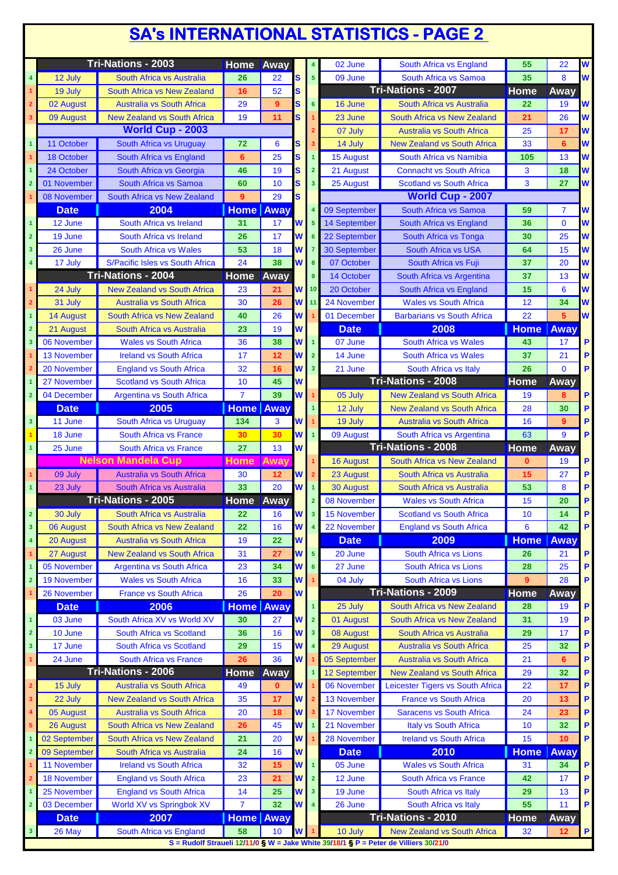## **SA's INTERNATIONAL STATISTICS - PAGE 2**

|                         |                    | <b>Tri-Nations - 2003</b>          | <b>Home</b>        | Away        |          |                         | 02 June             | South Africa vs England                                                              | 55           | 22             | W |
|-------------------------|--------------------|------------------------------------|--------------------|-------------|----------|-------------------------|---------------------|--------------------------------------------------------------------------------------|--------------|----------------|---|
| $\overline{\mathbf{4}}$ | 12 July            | South Africa vs Australia          | 26                 | 22          | S        | $5\phantom{.0}$         | 09 June             | South Africa vs Samoa                                                                | 35           | 8              | W |
| $\blacktriangleleft$    | 19 July            | South Africa vs New Zealand        | 16                 | 52          | S        |                         |                     | <b>Tri-Nations - 2007</b>                                                            | Home         | Away           |   |
| $\overline{\mathbf{2}}$ | 02 August          | <b>Australia vs South Africa</b>   | 29                 | 9           | S        | $6\phantom{a}$          | 16 June             | South Africa vs Australia                                                            | 22           | 19             | W |
| $\mathbf{3}$            | 09 August          | <b>New Zealand vs South Africa</b> | 19                 | 11          | S        |                         | 23 June             | South Africa vs New Zealand                                                          | 21           | 26             | W |
|                         |                    | <b>World Cup - 2003</b>            |                    |             |          |                         | 07 July             | <b>Australia vs South Africa</b>                                                     | 25           | 17             | W |
| $\blacktriangleleft$    | 11 October         | South Africa vs Uruguay            | 72                 | 6           | S        |                         | 14 July             | <b>New Zealand vs South Africa</b>                                                   | 33           | 6              | W |
|                         | 18 October         | South Africa vs England            | 6                  | 25          | S        | 1                       | <b>15 August</b>    | South Africa vs Namibia                                                              | 105          | 13             | W |
| $\overline{\mathbf{1}}$ | 24 October         | South Africa vs Georgia            | 46                 | 19          | S        | $\overline{2}$          | 21 August           | <b>Connacht vs South Africa</b>                                                      | 3            | 18             | W |
| $\overline{\mathbf{2}}$ | 01 November        | South Africa vs Samoa              | 60                 | 10          | S        | $\overline{3}$          | 25 August           | <b>Scotland vs South Africa</b>                                                      | 3            | 27             | W |
|                         | 08 November        | South Africa vs New Zealand        | 9                  | 29          | S        |                         |                     | <b>World Cup - 2007</b>                                                              |              |                |   |
|                         | <b>Date</b>        | 2004                               | <b>Home</b>   Away |             |          |                         | 09 September        | South Africa vs Samoa                                                                | 59           | $\overline{7}$ | W |
| $\overline{\mathbf{1}}$ | 12 June            | South Africa vs Ireland            | 31                 | 17          | W        | 5                       | 14 September        | South Africa vs England                                                              | 36           | $\mathbf{0}$   | W |
| $\overline{\mathbf{2}}$ | 19 June            | South Africa vs Ireland            | 26                 | 17          | W        |                         | 22 September        | South Africa vs Tonga                                                                | 30           | 25             | W |
|                         |                    |                                    |                    |             |          |                         |                     |                                                                                      |              |                |   |
| $\overline{\mathbf{3}}$ | 26 June            | <b>South Africa vs Wales</b>       | 53                 | 18          | W        | 7                       | <b>30 September</b> | <b>South Africa vs USA</b>                                                           | 64           | 15             | W |
| 4                       | 17 July            | S/Pacific Isles vs South Africa    | 24                 | 38          | W        | 8                       | 07 October          | South Africa vs Fuji                                                                 | 37           | 20             | W |
|                         |                    | <b>Tri-Nations - 2004</b>          | <b>Home</b>        | Away        |          | 9 <sup>°</sup>          | 14 October          | South Africa vs Argentina                                                            | 37           | 13             | W |
| $\overline{1}$          | 24 July            | <b>New Zealand vs South Africa</b> | 23                 | 21          | W        | 10 <sub>10</sub>        | 20 October          | South Africa vs England                                                              | 15           | 6              | W |
| $\overline{2}$          | 31 July            | <b>Australia vs South Africa</b>   | 30                 | 26          | W        | 11                      | 24 November         | <b>Wales vs South Africa</b>                                                         | 12           | 34             | W |
| $\mathbf{1}$            | <b>14 August</b>   | South Africa vs New Zealand        | 40                 | 26          | W        |                         | 01 December         | <b>Barbarians vs South Africa</b>                                                    | 22           | 5 <sup>5</sup> | W |
| $\overline{2}$          | 21 August          | South Africa vs Australia          | 23                 | 19          | W        |                         | <b>Date</b>         | 2008                                                                                 | <b>Home</b>  | Away           |   |
| 3                       | 06 November        | <b>Wales vs South Africa</b>       | 36                 | 38          | W        | $\overline{1}$          | 07 June             | <b>South Africa vs Wales</b>                                                         | 43           | 17             | P |
|                         | <b>13 November</b> | <b>Ireland vs South Africa</b>     | 17                 | 12          | W        | $\overline{2}$          | 14 June             | <b>South Africa vs Wales</b>                                                         | 37           | 21             | P |
| $\overline{2}$          | 20 November        | <b>England vs South Africa</b>     | 32                 | 16          | W        | 3 <sup>2</sup>          | 21 June             | South Africa vs Italy                                                                | 26           | $\mathbf{0}$   | P |
| $\overline{\mathbf{1}}$ | 27 November        | <b>Scotland vs South Africa</b>    | 10                 | 45          | W        |                         |                     | <b>Tri-Nations - 2008</b>                                                            | <b>Home</b>  | Away           |   |
| $\overline{2}$          | 04 December        | <b>Argentina vs South Africa</b>   | $\overline{7}$     | 39          | W        |                         | 05 July             | <b>New Zealand vs South Africa</b>                                                   | 19           | 8              | P |
|                         | <b>Date</b>        | 2005                               | <b>Home   Away</b> |             |          |                         | 12 July             | <b>New Zealand vs South Africa</b>                                                   | 28           | 30             | P |
| $\overline{\mathbf{3}}$ | 11 June            | South Africa vs Uruguay            | 134                | 3           | W        |                         | 19 July             | <b>Australia vs South Africa</b>                                                     | 16           | 9              | P |
|                         | 18 June            | <b>South Africa vs France</b>      | 30                 | 30          | W        | $\overline{1}$          | 09 August           | South Africa vs Argentina                                                            | 63           | 9              | P |
| $\overline{\mathbf{1}}$ | 25 June            | South Africa vs France             | 27                 | 13          | W        |                         |                     | Tri-Nations - 2008                                                                   | Home         | Away           |   |
|                         |                    | <b>Nelson Mandela Cup</b>          | <b>Home</b>        | <b>Away</b> |          |                         |                     | South Africa vs New Zealand                                                          | $\mathbf{0}$ | 19             | P |
|                         |                    |                                    |                    |             |          |                         | <b>16 August</b>    |                                                                                      |              |                |   |
|                         | 09 July            | <b>Australia vs South Africa</b>   | 30                 | 12          | W        | $\mathbf{2}$            | 23 August           | South Africa vs Australia                                                            | 15           | 27             | P |
| $\overline{1}$          | 23 July            | South Africa vs Australia          | 33                 | 20          | W        | $\mathbf{1}$            | 30 August           | South Africa vs Australia                                                            | 53           | 8              | P |
|                         |                    | Tri-Nations - 2005                 | <b>Home</b>        | Away        |          | $\overline{2}$          | 08 November         | <b>Wales vs South Africa</b>                                                         | 15           | 20             | P |
| $\overline{2}$          | 30 July            | South Africa vs Australia          | 22                 | 16          | <b>W</b> | 3 <sup>1</sup>          | 15 November         | <b>Scotland vs South Africa</b>                                                      | 10           | 14             | P |
| $\overline{\mathbf{3}}$ | 06 August          | South Africa vs New Zealand        | 22                 | 16          | W        | $\overline{4}$          | 22 November         | <b>England vs South Africa</b>                                                       | 6            | 42             | P |
| 4                       | 20 August          | <b>Australia vs South Africa</b>   | 19                 | 22          | W        |                         | <b>Date</b>         | 2009                                                                                 | <b>Home</b>  | <b>Away</b>    |   |
|                         | 27 August          | <b>New Zealand vs South Africa</b> | 31                 | 27          | W        | 5 <sub>5</sub>          | 20 June             | South Africa vs Lions                                                                | 26           | 21             | P |
| $\overline{\mathbf{1}}$ | 05 November        | <b>Argentina vs South Africa</b>   | 23                 | 34          | W        | 6                       | 27 June             | <b>South Africa vs Lions</b>                                                         | 28           | 25             | P |
| $\overline{2}$          | <b>19 November</b> | <b>Wales vs South Africa</b>       | 16                 | 33          | W        |                         | 04 July             | South Africa vs Lions                                                                | 9            | 28             | P |
|                         | 26 November        | <b>France vs South Africa</b>      | 26                 | 20          | W        |                         |                     | <b>Tri-Nations - 2009</b>                                                            | <b>Home</b>  | Away           |   |
|                         | <b>Date</b>        | 2006                               | <b>Home   Away</b> |             |          | $\overline{1}$          | 25 July             | South Africa vs New Zealand                                                          | 28           | 19             | P |
| $\overline{\mathbf{1}}$ | 03 June            | South Africa XV vs World XV        | 30                 | 27          | W        | $\overline{2}$          | 01 August           | South Africa vs New Zealand                                                          | 31           | 19             | P |
| $\overline{2}$          | 10 June            | South Africa vs Scotland           | 36                 | 16          | W        | 3 <sup>2</sup>          | 08 August           | South Africa vs Australia                                                            | 29           | 17             | P |
| $\mathbf{3}$            | 17 June            | South Africa vs Scotland           | 29                 | 15          | W        | $\overline{4}$          | 29 August           | <b>Australia vs South Africa</b>                                                     | 25           | 32             | P |
| 1                       | 24 June            | <b>South Africa vs France</b>      | 26                 | 36          | W        |                         | 05 September        | <b>Australia vs South Africa</b>                                                     | 21           | 6              | P |
|                         |                    | <b>Tri-Nations - 2006</b>          | Home               | Away        |          |                         | 12 September        | <b>New Zealand vs South Africa</b>                                                   | 29           | 32             | P |
| $\overline{\mathbf{2}}$ | 15 July            | <b>Australia vs South Africa</b>   | 49                 | $\bf{0}$    | W        |                         | 06 November         | Leicester Tigers vs South Africa                                                     | 22           | 17             | P |
|                         |                    |                                    |                    |             |          |                         |                     |                                                                                      |              |                |   |
| 3                       | 22 July            | <b>New Zealand vs South Africa</b> | 35                 | 17          | W        |                         | 13 November         | <b>France vs South Africa</b>                                                        | 20           | 13             | P |
| 4                       | 05 August          | <b>Australia vs South Africa</b>   | 20                 | 18          | W        |                         | 17 November         | <b>Saracens vs South Africa</b>                                                      | 24           | 23             | P |
| ${\bf 5}$               | 26 August          | South Africa vs New Zealand        | 26                 | 45          | W        |                         | 21 November         | Italy vs South Africa                                                                | 10           | 32             | P |
| $\overline{\mathbf{1}}$ | 02 September       | South Africa vs New Zealand        | 21                 | 20          | W        |                         | 28 November         | <b>Ireland vs South Africa</b>                                                       | 15           | 10             | P |
| $\overline{\mathbf{2}}$ | 09 September       | South Africa vs Australia          | 24                 | 16          | W        |                         | <b>Date</b>         | 2010                                                                                 | <b>Home</b>  | Away           |   |
|                         | 11 November        | <b>Ireland vs South Africa</b>     | 32                 | 15          | W        | $\overline{1}$          | 05 June             | <b>Wales vs South Africa</b>                                                         | 31           | 34             | P |
| $\mathbf{2}$            | <b>18 November</b> | <b>England vs South Africa</b>     | 23                 | 21          | W        | $\overline{2}$          | 12 June             | South Africa vs France                                                               | 42           | 17             | P |
| 1                       | 25 November        | <b>England vs South Africa</b>     | 14                 | 25          | W        | 3 <sup>7</sup>          | 19 June             | South Africa vs Italy                                                                | 29           | 13             | P |
| $\overline{\mathbf{2}}$ | 03 December        | World XV vs Springbok XV           | $\overline{7}$     | 32          | W        | $\overline{\mathbf{4}}$ | 26 June             | South Africa vs Italy                                                                | 55           | 11             | P |
|                         | <b>Date</b>        | 2007                               | <b>Home</b> Away   |             |          |                         |                     | Tri-Nations - 2010                                                                   | <b>Home</b>  | Away           |   |
| $\mathbf{3}$            | 26 May             | South Africa vs England            | 58                 | 10          | W        |                         | 10 July             | <b>New Zealand vs South Africa</b>                                                   | 32           | $12 \,$        | P |
|                         |                    |                                    |                    |             |          |                         |                     | S = Rudolf Straueli 12/11/0 § W = Jake White 39/18/1 § P = Peter de Villiers 30/21/0 |              |                |   |